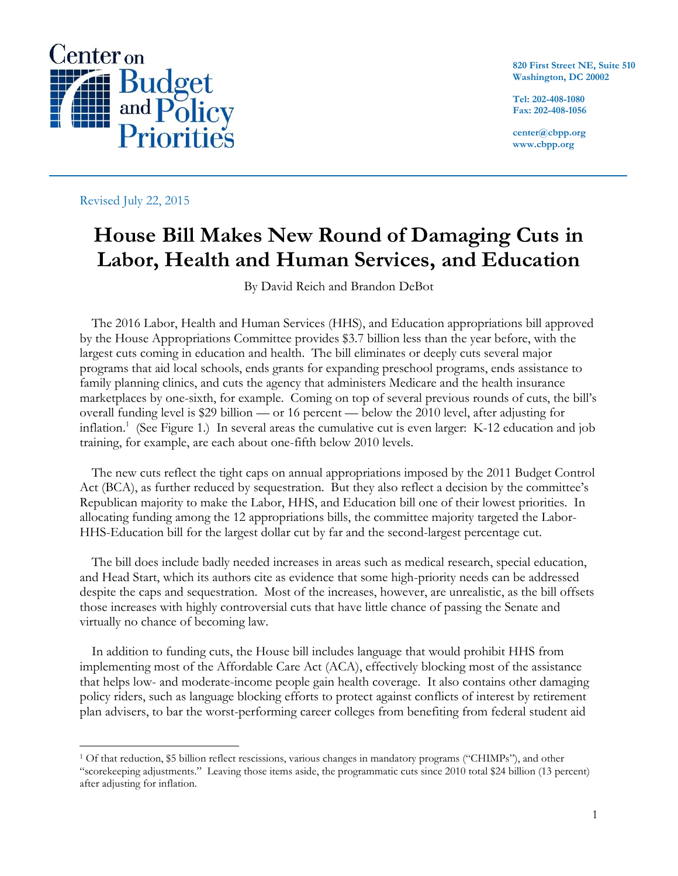

**820 First Street NE, Suite 510 Washington, DC 20002**

**Tel: 202-408-1080 Fax: 202-408-1056**

**center@cbpp.org www.cbpp.org**

Revised July 22, 2015

 $\overline{a}$ 

# **House Bill Makes New Round of Damaging Cuts in Labor, Health and Human Services, and Education**

By David Reich and Brandon DeBot

The 2016 Labor, Health and Human Services (HHS), and Education appropriations bill approved by the House Appropriations Committee provides \$3.7 billion less than the year before, with the largest cuts coming in education and health. The bill eliminates or deeply cuts several major programs that aid local schools, ends grants for expanding preschool programs, ends assistance to family planning clinics, and cuts the agency that administers Medicare and the health insurance marketplaces by one-sixth, for example. Coming on top of several previous rounds of cuts, the bill's overall funding level is \$29 billion — or 16 percent — below the 2010 level, after adjusting for inflation.<sup>1</sup> (See Figure 1.) In several areas the cumulative cut is even larger: K-12 education and job training, for example, are each about one-fifth below 2010 levels.

The new cuts reflect the tight caps on annual appropriations imposed by the 2011 Budget Control Act (BCA), as further reduced by sequestration. But they also reflect a decision by the committee's Republican majority to make the Labor, HHS, and Education bill one of their lowest priorities. In allocating funding among the 12 appropriations bills, the committee majority targeted the Labor-HHS-Education bill for the largest dollar cut by far and the second-largest percentage cut.

The bill does include badly needed increases in areas such as medical research, special education, and Head Start, which its authors cite as evidence that some high-priority needs can be addressed despite the caps and sequestration. Most of the increases, however, are unrealistic, as the bill offsets those increases with highly controversial cuts that have little chance of passing the Senate and virtually no chance of becoming law.

In addition to funding cuts, the House bill includes language that would prohibit HHS from implementing most of the Affordable Care Act (ACA), effectively blocking most of the assistance that helps low- and moderate-income people gain health coverage. It also contains other damaging policy riders, such as language blocking efforts to protect against conflicts of interest by retirement plan advisers, to bar the worst-performing career colleges from benefiting from federal student aid

<sup>1</sup> Of that reduction, \$5 billion reflect rescissions, various changes in mandatory programs ("CHIMPs"), and other "scorekeeping adjustments." Leaving those items aside, the programmatic cuts since 2010 total \$24 billion (13 percent) after adjusting for inflation.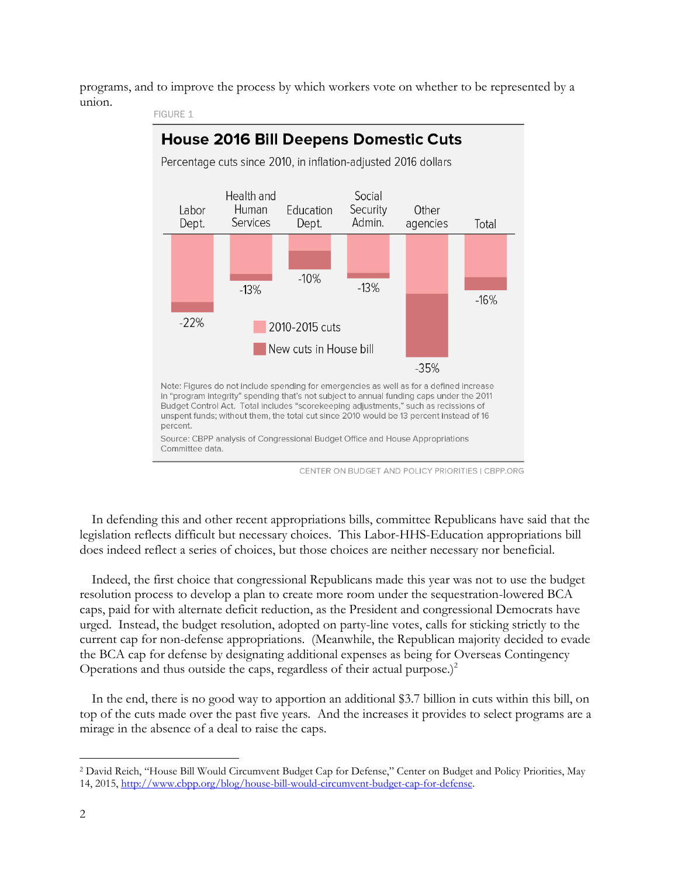programs, and to improve the process by which workers vote on whether to be represented by a union.



**FIGURE 1** 

In defending this and other recent appropriations bills, committee Republicans have said that the legislation reflects difficult but necessary choices. This Labor-HHS-Education appropriations bill does indeed reflect a series of choices, but those choices are neither necessary nor beneficial.

Indeed, the first choice that congressional Republicans made this year was not to use the budget resolution process to develop a plan to create more room under the sequestration-lowered BCA caps, paid for with alternate deficit reduction, as the President and congressional Democrats have urged. Instead, the budget resolution, adopted on party-line votes, calls for sticking strictly to the current cap for non-defense appropriations. (Meanwhile, the Republican majority decided to evade the BCA cap for defense by designating additional expenses as being for Overseas Contingency Operations and thus outside the caps, regardless of their actual purpose.) $2$ 

In the end, there is no good way to apportion an additional \$3.7 billion in cuts within this bill, on top of the cuts made over the past five years. And the increases it provides to select programs are a mirage in the absence of a deal to raise the caps.

<sup>2</sup> David Reich, "House Bill Would Circumvent Budget Cap for Defense," Center on Budget and Policy Priorities, May 14, 2015, [http://www.cbpp.org/blog/house-bill-would-circumvent-budget-cap-for-defense.](http://www.cbpp.org/blog/house-bill-would-circumvent-budget-cap-for-defense)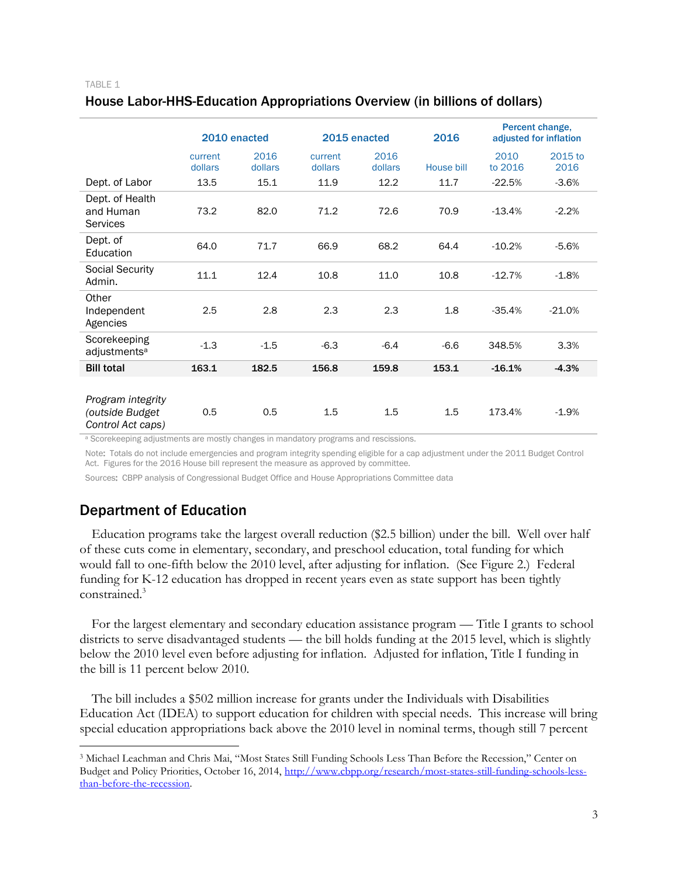# House Labor-HHS-Education Appropriations Overview (in billions of dollars)

|                                                           | 2010 enacted       |                 |                    | 2015 enacted    | 2016       | Percent change,<br>adjusted for inflation |                 |
|-----------------------------------------------------------|--------------------|-----------------|--------------------|-----------------|------------|-------------------------------------------|-----------------|
|                                                           | current<br>dollars | 2016<br>dollars | current<br>dollars | 2016<br>dollars | House bill | 2010<br>to 2016                           | 2015 to<br>2016 |
| Dept. of Labor                                            | 13.5               | 15.1            | 11.9               | 12.2            | 11.7       | $-22.5%$                                  | $-3.6%$         |
| Dept. of Health<br>and Human<br><b>Services</b>           | 73.2               | 82.0            | 71.2               | 72.6            | 70.9       | $-13.4%$                                  | $-2.2%$         |
| Dept. of<br>Education                                     | 64.0               | 71.7            | 66.9               | 68.2            | 64.4       | $-10.2%$                                  | $-5.6%$         |
| <b>Social Security</b><br>Admin.                          | 11.1               | 12.4            | 10.8               | 11.0            | 10.8       | $-12.7%$                                  | $-1.8%$         |
| Other<br>Independent<br>Agencies                          | 2.5                | 2.8             | 2.3                | 2.3             | 1.8        | $-35.4%$                                  | $-21.0%$        |
| Scorekeeping<br>adjustments <sup>a</sup>                  | $-1.3$             | $-1.5$          | $-6.3$             | $-6.4$          | $-6.6$     | 348.5%                                    | 3.3%            |
| <b>Bill total</b>                                         | 163.1              | 182.5           | 156.8              | 159.8           | 153.1      | $-16.1%$                                  | $-4.3%$         |
| Program integrity<br>(outside Budget<br>Control Act caps) | 0.5                | 0.5             | 1.5                | 1.5             | 1.5        | 173.4%                                    | $-1.9%$         |

<sup>a</sup> Scorekeeping adjustments are mostly changes in mandatory programs and rescissions.

Note: Totals do not include emergencies and program integrity spending eligible for a cap adjustment under the 2011 Budget Control Act. Figures for the 2016 House bill represent the measure as approved by committee.

Sources: CBPP analysis of Congressional Budget Office and House Appropriations Committee data

# Department of Education

 $\overline{a}$ 

Education programs take the largest overall reduction (\$2.5 billion) under the bill. Well over half of these cuts come in elementary, secondary, and preschool education, total funding for which would fall to one-fifth below the 2010 level, after adjusting for inflation. (See Figure 2.) Federal funding for K-12 education has dropped in recent years even as state support has been tightly constrained.<sup>3</sup>

For the largest elementary and secondary education assistance program — Title I grants to school districts to serve disadvantaged students — the bill holds funding at the 2015 level, which is slightly below the 2010 level even before adjusting for inflation. Adjusted for inflation, Title I funding in the bill is 11 percent below 2010.

The bill includes a \$502 million increase for grants under the Individuals with Disabilities Education Act (IDEA) to support education for children with special needs. This increase will bring special education appropriations back above the 2010 level in nominal terms, though still 7 percent

<sup>3</sup> Michael Leachman and Chris Mai, "Most States Still Funding Schools Less Than Before the Recession," Center on Budget and Policy Priorities, October 16, 2014, [http://www.cbpp.org/research/most-states-still-funding-schools-less](http://www.cbpp.org/research/most-states-still-funding-schools-less-than-before-the-recession)[than-before-the-recession.](http://www.cbpp.org/research/most-states-still-funding-schools-less-than-before-the-recession)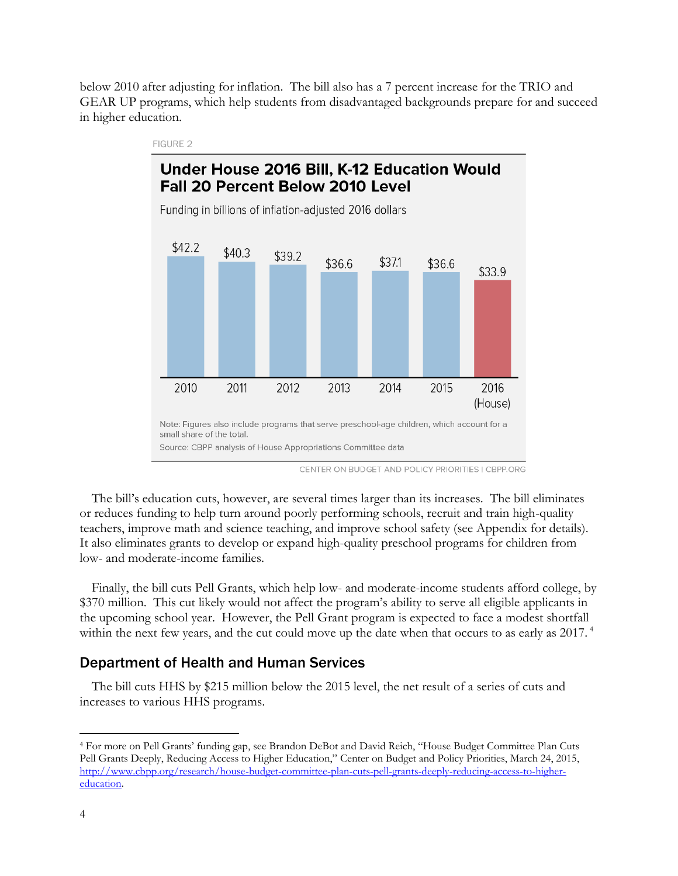below 2010 after adjusting for inflation. The bill also has a 7 percent increase for the TRIO and GEAR UP programs, which help students from disadvantaged backgrounds prepare for and succeed in higher education.



CENTER ON BUDGET AND POLICY PRIORITIES | CBPP.ORG

The bill's education cuts, however, are several times larger than its increases. The bill eliminates or reduces funding to help turn around poorly performing schools, recruit and train high-quality teachers, improve math and science teaching, and improve school safety (see Appendix for details). It also eliminates grants to develop or expand high-quality preschool programs for children from low- and moderate-income families.

Finally, the bill cuts Pell Grants, which help low- and moderate-income students afford college, by \$370 million. This cut likely would not affect the program's ability to serve all eligible applicants in the upcoming school year. However, the Pell Grant program is expected to face a modest shortfall within the next few years, and the cut could move up the date when that occurs to as early as 2017.<sup>4</sup>

# Department of Health and Human Services

The bill cuts HHS by \$215 million below the 2015 level, the net result of a series of cuts and increases to various HHS programs.

<sup>4</sup> For more on Pell Grants' funding gap, see Brandon DeBot and David Reich, "House Budget Committee Plan Cuts Pell Grants Deeply, Reducing Access to Higher Education," Center on Budget and Policy Priorities, March 24, 2015, [http://www.cbpp.org/research/house-budget-committee-plan-cuts-pell-grants-deeply-reducing-access-to-higher](http://www.cbpp.org/research/house-budget-committee-plan-cuts-pell-grants-deeply-reducing-access-to-higher-education)[education.](http://www.cbpp.org/research/house-budget-committee-plan-cuts-pell-grants-deeply-reducing-access-to-higher-education)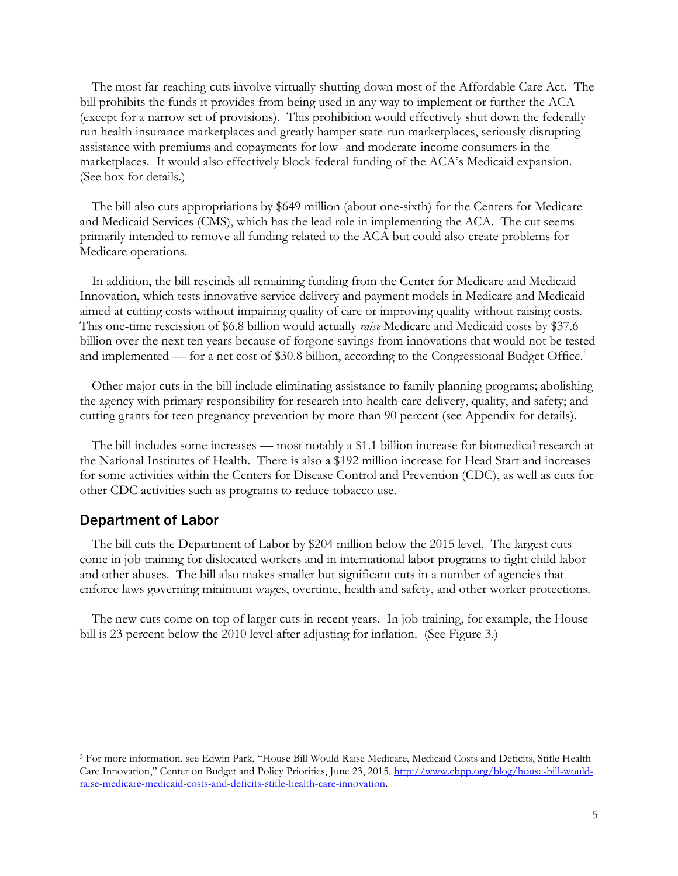The most far-reaching cuts involve virtually shutting down most of the Affordable Care Act. The bill prohibits the funds it provides from being used in any way to implement or further the ACA (except for a narrow set of provisions). This prohibition would effectively shut down the federally run health insurance marketplaces and greatly hamper state-run marketplaces, seriously disrupting assistance with premiums and copayments for low- and moderate-income consumers in the marketplaces. It would also effectively block federal funding of the ACA's Medicaid expansion. (See box for details.)

The bill also cuts appropriations by \$649 million (about one-sixth) for the Centers for Medicare and Medicaid Services (CMS), which has the lead role in implementing the ACA. The cut seems primarily intended to remove all funding related to the ACA but could also create problems for Medicare operations.

In addition, the bill rescinds all remaining funding from the Center for Medicare and Medicaid Innovation, which tests innovative service delivery and payment models in Medicare and Medicaid aimed at cutting costs without impairing quality of care or improving quality without raising costs. This one-time rescission of \$6.8 billion would actually *raise* Medicare and Medicaid costs by \$37.6 billion over the next ten years because of forgone savings from innovations that would not be tested and implemented — for a net cost of \$30.8 billion, according to the Congressional Budget Office.<sup>5</sup>

Other major cuts in the bill include eliminating assistance to family planning programs; abolishing the agency with primary responsibility for research into health care delivery, quality, and safety; and cutting grants for teen pregnancy prevention by more than 90 percent (see Appendix for details).

The bill includes some increases — most notably a \$1.1 billion increase for biomedical research at the National Institutes of Health. There is also a \$192 million increase for Head Start and increases for some activities within the Centers for Disease Control and Prevention (CDC), as well as cuts for other CDC activities such as programs to reduce tobacco use.

# Department of Labor

 $\overline{a}$ 

The bill cuts the Department of Labor by \$204 million below the 2015 level. The largest cuts come in job training for dislocated workers and in international labor programs to fight child labor and other abuses. The bill also makes smaller but significant cuts in a number of agencies that enforce laws governing minimum wages, overtime, health and safety, and other worker protections.

The new cuts come on top of larger cuts in recent years. In job training, for example, the House bill is 23 percent below the 2010 level after adjusting for inflation. (See Figure 3.)

<sup>5</sup> For more information, see Edwin Park, "House Bill Would Raise Medicare, Medicaid Costs and Deficits, Stifle Health Care Innovation," Center on Budget and Policy Priorities, June 23, 2015, [http://www.cbpp.org/blog/house-bill-would](http://www.cbpp.org/blog/house-bill-would-raise-medicare-medicaid-costs-and-deficits-stifle-health-care-innovation)[raise-medicare-medicaid-costs-and-deficits-stifle-health-care-innovation.](http://www.cbpp.org/blog/house-bill-would-raise-medicare-medicaid-costs-and-deficits-stifle-health-care-innovation)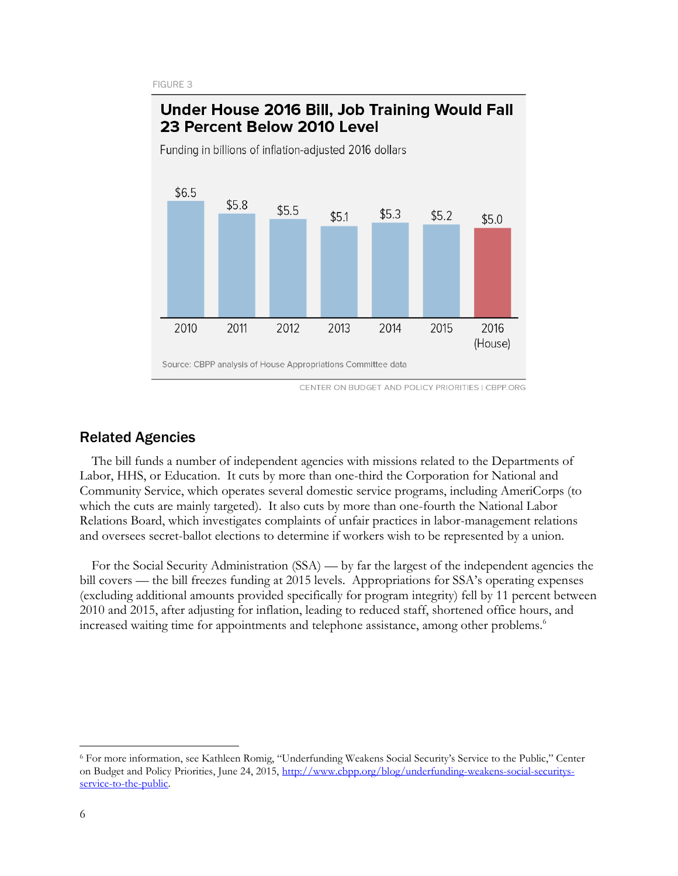FIGURE 3



# Under House 2016 Bill, Job Training Would Fall

CENTER ON BUDGET AND POLICY PRIORITIES | CBPP.ORG

# Related Agencies

The bill funds a number of independent agencies with missions related to the Departments of Labor, HHS, or Education. It cuts by more than one-third the Corporation for National and Community Service, which operates several domestic service programs, including AmeriCorps (to which the cuts are mainly targeted). It also cuts by more than one-fourth the National Labor Relations Board, which investigates complaints of unfair practices in labor-management relations and oversees secret-ballot elections to determine if workers wish to be represented by a union.

For the Social Security Administration (SSA) — by far the largest of the independent agencies the bill covers — the bill freezes funding at 2015 levels. Appropriations for SSA's operating expenses (excluding additional amounts provided specifically for program integrity) fell by 11 percent between 2010 and 2015, after adjusting for inflation, leading to reduced staff, shortened office hours, and increased waiting time for appointments and telephone assistance, among other problems.<sup>6</sup>

<sup>6</sup> For more information, see Kathleen Romig, "Underfunding Weakens Social Security's Service to the Public," Center on Budget and Policy Priorities, June 24, 2015, [http://www.cbpp.org/blog/underfunding-weakens-social-securitys](http://www.cbpp.org/blog/underfunding-weakens-social-securitys-service-to-the-public)service-to-the-public.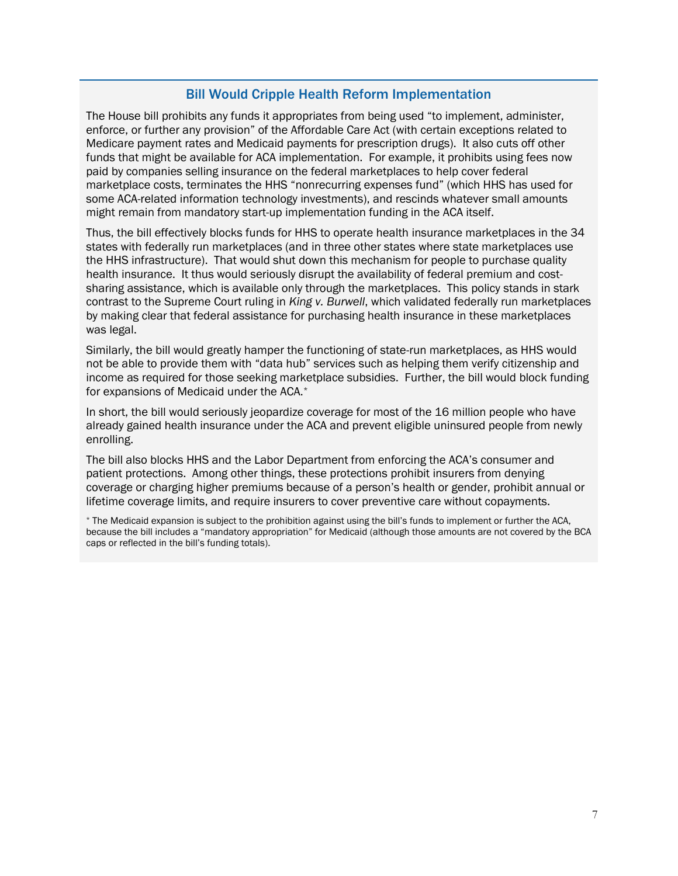# Bill Would Cripple Health Reform Implementation

The House bill prohibits any funds it appropriates from being used "to implement, administer, enforce, or further any provision" of the Affordable Care Act (with certain exceptions related to Medicare payment rates and Medicaid payments for prescription drugs). It also cuts off other funds that might be available for ACA implementation. For example, it prohibits using fees now paid by companies selling insurance on the federal marketplaces to help cover federal marketplace costs, terminates the HHS "nonrecurring expenses fund" (which HHS has used for some ACA-related information technology investments), and rescinds whatever small amounts might remain from mandatory start-up implementation funding in the ACA itself.

Thus, the bill effectively blocks funds for HHS to operate health insurance marketplaces in the 34 states with federally run marketplaces (and in three other states where state marketplaces use the HHS infrastructure). That would shut down this mechanism for people to purchase quality health insurance. It thus would seriously disrupt the availability of federal premium and costsharing assistance, which is available only through the marketplaces. This policy stands in stark contrast to the Supreme Court ruling in *King v. Burwell*, which validated federally run marketplaces by making clear that federal assistance for purchasing health insurance in these marketplaces was legal.

Similarly, the bill would greatly hamper the functioning of state-run marketplaces, as HHS would not be able to provide them with "data hub" services such as helping them verify citizenship and income as required for those seeking marketplace subsidies. Further, the bill would block funding for expansions of Medicaid under the ACA.\*

In short, the bill would seriously jeopardize coverage for most of the 16 million people who have already gained health insurance under the ACA and prevent eligible uninsured people from newly enrolling.

The bill also blocks HHS and the Labor Department from enforcing the ACA's consumer and patient protections. Among other things, these protections prohibit insurers from denying coverage or charging higher premiums because of a person's health or gender, prohibit annual or lifetime coverage limits, and require insurers to cover preventive care without copayments.

\* The Medicaid expansion is subject to the prohibition against using the bill's funds to implement or further the ACA, because the bill includes a "mandatory appropriation" for Medicaid (although those amounts are not covered by the BCA caps or reflected in the bill's funding totals).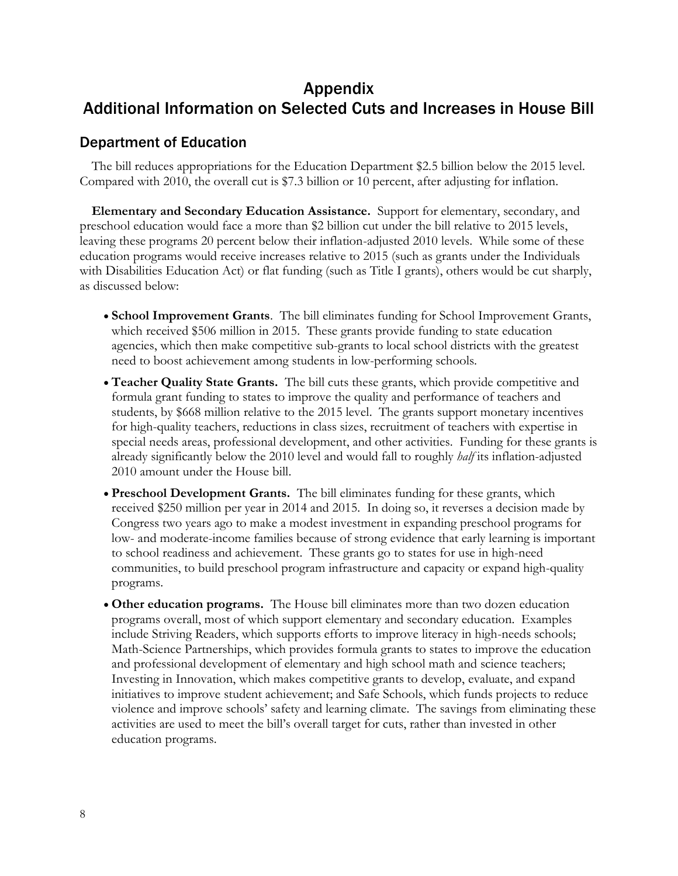# Appendix

# Additional Information on Selected Cuts and Increases in House Bill

# Department of Education

The bill reduces appropriations for the Education Department \$2.5 billion below the 2015 level. Compared with 2010, the overall cut is \$7.3 billion or 10 percent, after adjusting for inflation.

**Elementary and Secondary Education Assistance.** Support for elementary, secondary, and preschool education would face a more than \$2 billion cut under the bill relative to 2015 levels, leaving these programs 20 percent below their inflation-adjusted 2010 levels. While some of these education programs would receive increases relative to 2015 (such as grants under the Individuals with Disabilities Education Act) or flat funding (such as Title I grants), others would be cut sharply, as discussed below:

- **School Improvement Grants**. The bill eliminates funding for School Improvement Grants, which received \$506 million in 2015. These grants provide funding to state education agencies, which then make competitive sub-grants to local school districts with the greatest need to boost achievement among students in low-performing schools.
- **Teacher Quality State Grants.** The bill cuts these grants, which provide competitive and formula grant funding to states to improve the quality and performance of teachers and students, by \$668 million relative to the 2015 level. The grants support monetary incentives for high-quality teachers, reductions in class sizes, recruitment of teachers with expertise in special needs areas, professional development, and other activities. Funding for these grants is already significantly below the 2010 level and would fall to roughly *half* its inflation-adjusted 2010 amount under the House bill.
- **Preschool Development Grants.** The bill eliminates funding for these grants, which received \$250 million per year in 2014 and 2015. In doing so, it reverses a decision made by Congress two years ago to make a modest investment in expanding preschool programs for low- and moderate-income families because of strong evidence that early learning is important to school readiness and achievement. These grants go to states for use in high-need communities, to build preschool program infrastructure and capacity or expand high-quality programs.
- **Other education programs.** The House bill eliminates more than two dozen education programs overall, most of which support elementary and secondary education. Examples include Striving Readers, which supports efforts to improve literacy in high-needs schools; Math-Science Partnerships, which provides formula grants to states to improve the education and professional development of elementary and high school math and science teachers; Investing in Innovation, which makes competitive grants to develop, evaluate, and expand initiatives to improve student achievement; and Safe Schools, which funds projects to reduce violence and improve schools' safety and learning climate. The savings from eliminating these activities are used to meet the bill's overall target for cuts, rather than invested in other education programs.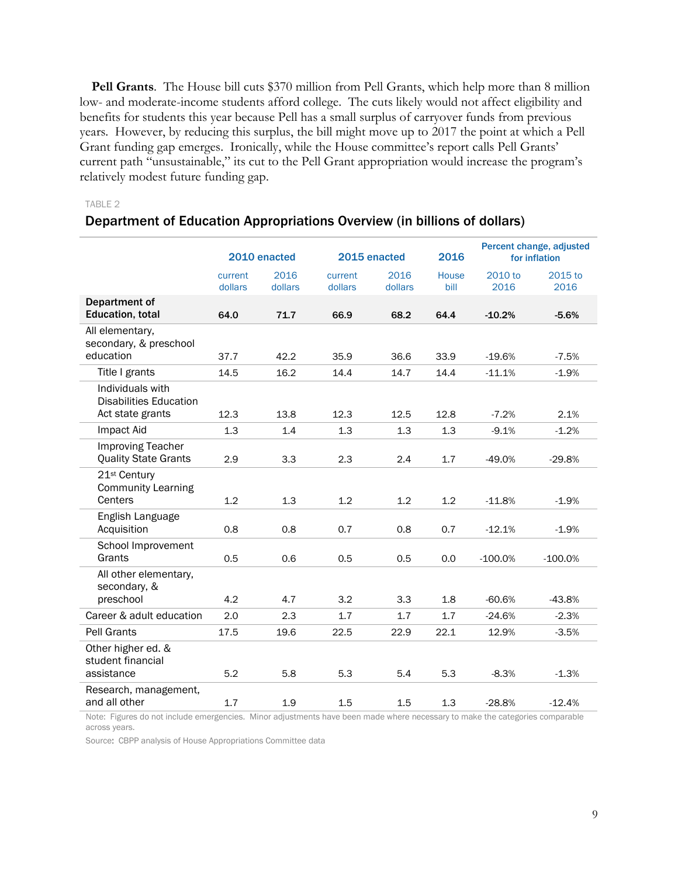**Pell Grants**. The House bill cuts \$370 million from Pell Grants, which help more than 8 million low- and moderate-income students afford college. The cuts likely would not affect eligibility and benefits for students this year because Pell has a small surplus of carryover funds from previous years. However, by reducing this surplus, the bill might move up to 2017 the point at which a Pell Grant funding gap emerges. Ironically, while the House committee's report calls Pell Grants' current path "unsustainable," its cut to the Pell Grant appropriation would increase the program's relatively modest future funding gap.

#### TABLE 2

#### Department of Education Appropriations Overview (in billions of dollars)

|                                                                       | 2010 enacted       |                 |                    | 2015 enacted    | 2016          |                 | Percent change, adjusted<br>for inflation |
|-----------------------------------------------------------------------|--------------------|-----------------|--------------------|-----------------|---------------|-----------------|-------------------------------------------|
|                                                                       | current<br>dollars | 2016<br>dollars | current<br>dollars | 2016<br>dollars | House<br>bill | 2010 to<br>2016 | 2015 to<br>2016                           |
| Department of<br>Education, total                                     | 64.0               | 71.7            | 66.9               | 68.2            | 64.4          | $-10.2%$        | $-5.6%$                                   |
| All elementary,<br>secondary, & preschool                             |                    |                 |                    |                 |               |                 |                                           |
| education                                                             | 37.7               | 42.2            | 35.9               | 36.6            | 33.9          | $-19.6%$        | $-7.5%$                                   |
| Title I grants                                                        | 14.5               | 16.2            | 14.4               | 14.7            | 14.4          | $-11.1%$        | $-1.9%$                                   |
| Individuals with<br><b>Disabilities Education</b><br>Act state grants | 12.3               | 13.8            | 12.3               | 12.5            | 12.8          | $-7.2%$         | 2.1%                                      |
| Impact Aid                                                            | 1.3                | 1.4             | 1.3                | 1.3             | 1.3           | $-9.1%$         | $-1.2%$                                   |
| <b>Improving Teacher</b><br><b>Quality State Grants</b>               | 2.9                | 3.3             | 2.3                | 2.4             | 1.7           | $-49.0%$        | $-29.8%$                                  |
| 21 <sup>st</sup> Century<br><b>Community Learning</b><br>Centers      | 1.2                | 1.3             | 1.2                | 1.2             | 1.2           | $-11.8%$        | $-1.9%$                                   |
| English Language<br>Acquisition                                       | 0.8                | 0.8             | 0.7                | 0.8             | 0.7           | $-12.1%$        | $-1.9%$                                   |
| School Improvement<br>Grants                                          | 0.5                | 0.6             | 0.5                | 0.5             | 0.0           | $-100.0%$       | $-100.0%$                                 |
| All other elementary,<br>secondary, &<br>preschool                    | 4.2                | 4.7             | 3.2                | 3.3             | 1.8           | $-60.6%$        | $-43.8%$                                  |
| Career & adult education                                              |                    |                 |                    |                 |               |                 |                                           |
|                                                                       | 2.0                | 2.3             | 1.7                | 1.7             | 1.7           | $-24.6%$        | $-2.3%$                                   |
| <b>Pell Grants</b>                                                    | 17.5               | 19.6            | 22.5               | 22.9            | 22.1          | 12.9%           | $-3.5%$                                   |
| Other higher ed. &<br>student financial<br>assistance                 | 5.2                | 5.8             | 5.3                | 5.4             | 5.3           | $-8.3%$         | $-1.3%$                                   |
| Research, management,<br>and all other                                | 1.7                | 1.9             | 1.5                | 1.5             | 1.3           | $-28.8%$        | $-12.4%$                                  |

Note: Figures do not include emergencies. Minor adjustments have been made where necessary to make the categories comparable across years.

Source: CBPP analysis of House Appropriations Committee data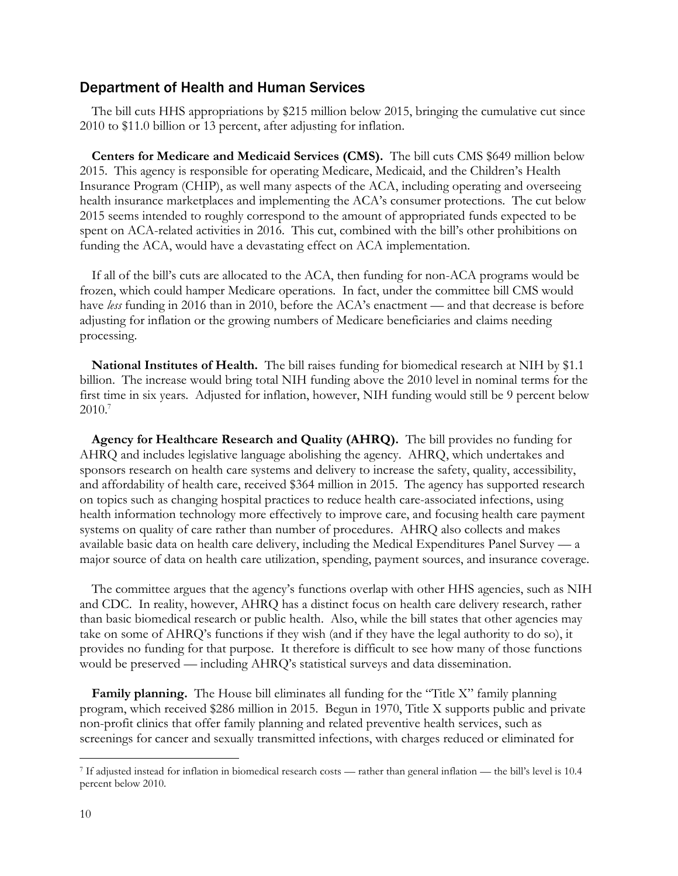# Department of Health and Human Services

The bill cuts HHS appropriations by \$215 million below 2015, bringing the cumulative cut since 2010 to \$11.0 billion or 13 percent, after adjusting for inflation.

**Centers for Medicare and Medicaid Services (CMS).** The bill cuts CMS \$649 million below 2015. This agency is responsible for operating Medicare, Medicaid, and the Children's Health Insurance Program (CHIP), as well many aspects of the ACA, including operating and overseeing health insurance marketplaces and implementing the ACA's consumer protections. The cut below 2015 seems intended to roughly correspond to the amount of appropriated funds expected to be spent on ACA-related activities in 2016. This cut, combined with the bill's other prohibitions on funding the ACA, would have a devastating effect on ACA implementation.

If all of the bill's cuts are allocated to the ACA, then funding for non-ACA programs would be frozen, which could hamper Medicare operations. In fact, under the committee bill CMS would have *less* funding in 2016 than in 2010, before the ACA's enactment — and that decrease is before adjusting for inflation or the growing numbers of Medicare beneficiaries and claims needing processing.

**National Institutes of Health.** The bill raises funding for biomedical research at NIH by \$1.1 billion. The increase would bring total NIH funding above the 2010 level in nominal terms for the first time in six years. Adjusted for inflation, however, NIH funding would still be 9 percent below 2010.<sup>7</sup>

**Agency for Healthcare Research and Quality (AHRQ).** The bill provides no funding for AHRQ and includes legislative language abolishing the agency. AHRQ, which undertakes and sponsors research on health care systems and delivery to increase the safety, quality, accessibility, and affordability of health care, received \$364 million in 2015. The agency has supported research on topics such as changing hospital practices to reduce health care-associated infections, using health information technology more effectively to improve care, and focusing health care payment systems on quality of care rather than number of procedures. AHRQ also collects and makes available basic data on health care delivery, including the Medical Expenditures Panel Survey — a major source of data on health care utilization, spending, payment sources, and insurance coverage.

The committee argues that the agency's functions overlap with other HHS agencies, such as NIH and CDC. In reality, however, AHRQ has a distinct focus on health care delivery research, rather than basic biomedical research or public health. Also, while the bill states that other agencies may take on some of AHRQ's functions if they wish (and if they have the legal authority to do so), it provides no funding for that purpose. It therefore is difficult to see how many of those functions would be preserved — including AHRQ's statistical surveys and data dissemination.

**Family planning.** The House bill eliminates all funding for the "Title X" family planning program, which received \$286 million in 2015. Begun in 1970, Title X supports public and private non-profit clinics that offer family planning and related preventive health services, such as screenings for cancer and sexually transmitted infections, with charges reduced or eliminated for

<sup>7</sup> If adjusted instead for inflation in biomedical research costs — rather than general inflation — the bill's level is 10.4 percent below 2010.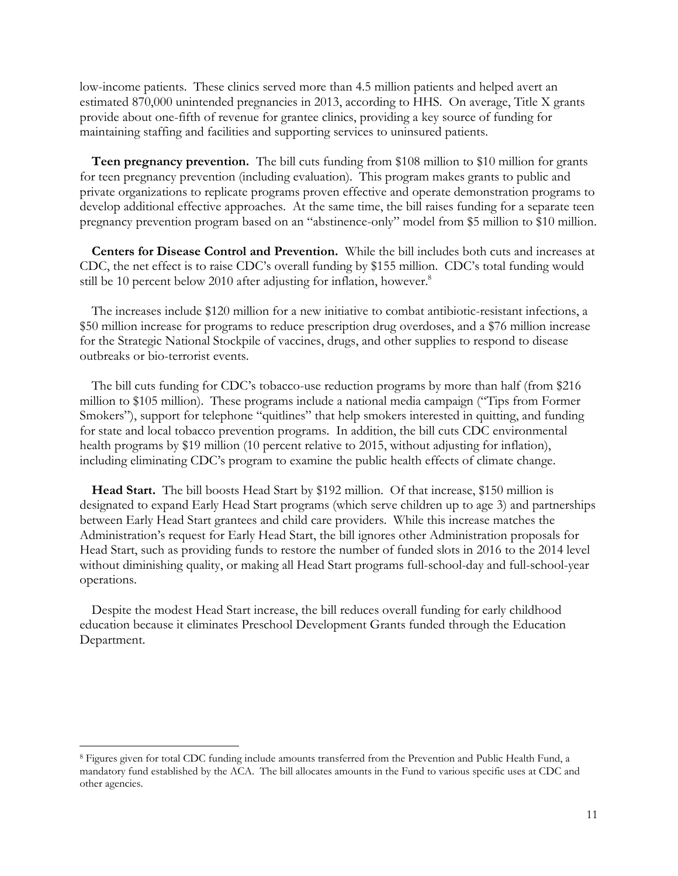low-income patients. These clinics served more than 4.5 million patients and helped avert an estimated 870,000 unintended pregnancies in 2013, according to HHS. On average, Title X grants provide about one-fifth of revenue for grantee clinics, providing a key source of funding for maintaining staffing and facilities and supporting services to uninsured patients.

**Teen pregnancy prevention.** The bill cuts funding from \$108 million to \$10 million for grants for teen pregnancy prevention (including evaluation). This program makes grants to public and private organizations to replicate programs proven effective and operate demonstration programs to develop additional effective approaches. At the same time, the bill raises funding for a separate teen pregnancy prevention program based on an "abstinence-only" model from \$5 million to \$10 million.

**Centers for Disease Control and Prevention.** While the bill includes both cuts and increases at CDC, the net effect is to raise CDC's overall funding by \$155 million. CDC's total funding would still be 10 percent below 2010 after adjusting for inflation, however.<sup>8</sup>

The increases include \$120 million for a new initiative to combat antibiotic-resistant infections, a \$50 million increase for programs to reduce prescription drug overdoses, and a \$76 million increase for the Strategic National Stockpile of vaccines, drugs, and other supplies to respond to disease outbreaks or bio-terrorist events.

The bill cuts funding for CDC's tobacco-use reduction programs by more than half (from \$216 million to \$105 million). These programs include a national media campaign ("Tips from Former Smokers"), support for telephone "quitlines" that help smokers interested in quitting, and funding for state and local tobacco prevention programs. In addition, the bill cuts CDC environmental health programs by \$19 million (10 percent relative to 2015, without adjusting for inflation), including eliminating CDC's program to examine the public health effects of climate change.

**Head Start.** The bill boosts Head Start by \$192 million. Of that increase, \$150 million is designated to expand Early Head Start programs (which serve children up to age 3) and partnerships between Early Head Start grantees and child care providers. While this increase matches the Administration's request for Early Head Start, the bill ignores other Administration proposals for Head Start, such as providing funds to restore the number of funded slots in 2016 to the 2014 level without diminishing quality, or making all Head Start programs full-school-day and full-school-year operations.

Despite the modest Head Start increase, the bill reduces overall funding for early childhood education because it eliminates Preschool Development Grants funded through the Education Department.

<sup>8</sup> Figures given for total CDC funding include amounts transferred from the Prevention and Public Health Fund, a mandatory fund established by the ACA. The bill allocates amounts in the Fund to various specific uses at CDC and other agencies.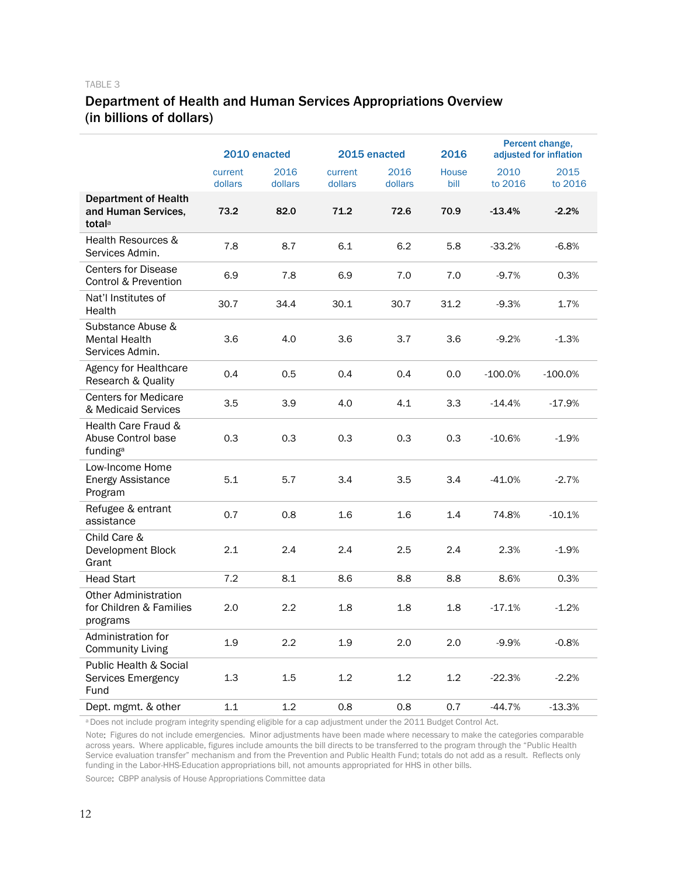# Department of Health and Human Services Appropriations Overview (in billions of dollars)

|                                                                          | 2010 enacted       |                 | 2015 enacted       |                 | 2016          |                 | Percent change,<br>adjusted for inflation |
|--------------------------------------------------------------------------|--------------------|-----------------|--------------------|-----------------|---------------|-----------------|-------------------------------------------|
|                                                                          | current<br>dollars | 2016<br>dollars | current<br>dollars | 2016<br>dollars | House<br>bill | 2010<br>to 2016 | 2015<br>to 2016                           |
| <b>Department of Health</b><br>and Human Services,<br>total <sup>a</sup> | 73.2               | 82.0            | 71.2               | 72.6            | 70.9          | $-13.4%$        | $-2.2%$                                   |
| Health Resources &<br>Services Admin.                                    | 7.8                | 8.7             | 6.1                | 6.2             | 5.8           | $-33.2%$        | $-6.8%$                                   |
| <b>Centers for Disease</b><br>Control & Prevention                       | 6.9                | 7.8             | 6.9                | 7.0             | 7.0           | $-9.7%$         | 0.3%                                      |
| Nat'l Institutes of<br>Health                                            | 30.7               | 34.4            | 30.1               | 30.7            | 31.2          | $-9.3%$         | 1.7%                                      |
| Substance Abuse &<br><b>Mental Health</b><br>Services Admin.             | 3.6                | 4.0             | 3.6                | 3.7             | 3.6           | $-9.2%$         | $-1.3%$                                   |
| Agency for Healthcare<br>Research & Quality                              | 0.4                | 0.5             | 0.4                | 0.4             | 0.0           | $-100.0%$       | $-100.0\%$                                |
| <b>Centers for Medicare</b><br>& Medicaid Services                       | 3.5                | 3.9             | 4.0                | 4.1             | 3.3           | $-14.4%$        | $-17.9%$                                  |
| Health Care Fraud &<br>Abuse Control base<br>funding <sup>a</sup>        | 0.3                | 0.3             | 0.3                | 0.3             | 0.3           | $-10.6%$        | $-1.9%$                                   |
| Low-Income Home<br><b>Energy Assistance</b><br>Program                   | 5.1                | 5.7             | 3.4                | 3.5             | 3.4           | -41.0%          | $-2.7%$                                   |
| Refugee & entrant<br>assistance                                          | 0.7                | 0.8             | 1.6                | 1.6             | 1.4           | 74.8%           | $-10.1%$                                  |
| Child Care &<br>Development Block<br>Grant                               | 2.1                | 2.4             | 2.4                | 2.5             | 2.4           | 2.3%            | $-1.9%$                                   |
| <b>Head Start</b>                                                        | 7.2                | 8.1             | 8.6                | 8.8             | 8.8           | 8.6%            | 0.3%                                      |
| <b>Other Administration</b><br>for Children & Families<br>programs       | 2.0                | 2.2             | 1.8                | 1.8             | 1.8           | $-17.1%$        | $-1.2%$                                   |
| Administration for<br><b>Community Living</b>                            | 1.9                | 2.2             | 1.9                | 2.0             | 2.0           | $-9.9%$         | $-0.8%$                                   |
| Public Health & Social<br>Services Emergency<br>Fund                     | 1.3                | 1.5             | 1.2                | 1.2             | 1.2           | $-22.3%$        | $-2.2%$                                   |
| Dept. mgmt. & other                                                      | 1.1                | 1.2             | 0.8                | 0.8             | 0.7           | $-44.7%$        | $-13.3%$                                  |

a Does not include program integrity spending eligible for a cap adjustment under the 2011 Budget Control Act.

Note: Figures do not include emergencies. Minor adjustments have been made where necessary to make the categories comparable across years. Where applicable, figures include amounts the bill directs to be transferred to the program through the "Public Health Service evaluation transfer" mechanism and from the Prevention and Public Health Fund; totals do not add as a result. Reflects only funding in the Labor-HHS-Education appropriations bill, not amounts appropriated for HHS in other bills.

Source: CBPP analysis of House Appropriations Committee data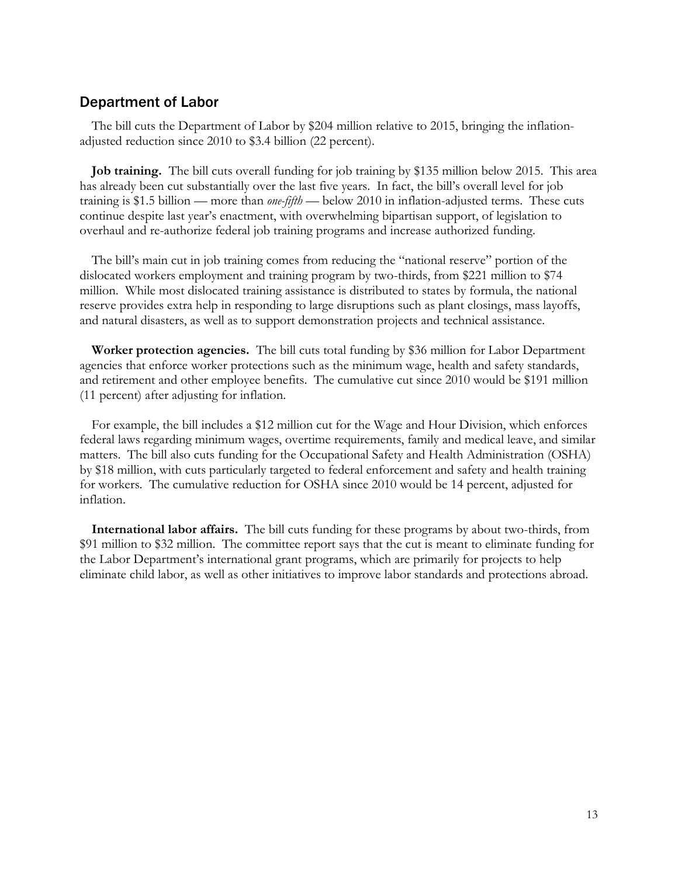# Department of Labor

The bill cuts the Department of Labor by \$204 million relative to 2015, bringing the inflationadjusted reduction since 2010 to \$3.4 billion (22 percent).

**Job training.** The bill cuts overall funding for job training by \$135 million below 2015. This area has already been cut substantially over the last five years. In fact, the bill's overall level for job training is \$1.5 billion — more than *one-fifth* — below 2010 in inflation-adjusted terms. These cuts continue despite last year's enactment, with overwhelming bipartisan support, of legislation to overhaul and re-authorize federal job training programs and increase authorized funding.

The bill's main cut in job training comes from reducing the "national reserve" portion of the dislocated workers employment and training program by two-thirds, from \$221 million to \$74 million. While most dislocated training assistance is distributed to states by formula, the national reserve provides extra help in responding to large disruptions such as plant closings, mass layoffs, and natural disasters, as well as to support demonstration projects and technical assistance.

**Worker protection agencies.** The bill cuts total funding by \$36 million for Labor Department agencies that enforce worker protections such as the minimum wage, health and safety standards, and retirement and other employee benefits. The cumulative cut since 2010 would be \$191 million (11 percent) after adjusting for inflation.

For example, the bill includes a \$12 million cut for the Wage and Hour Division, which enforces federal laws regarding minimum wages, overtime requirements, family and medical leave, and similar matters. The bill also cuts funding for the Occupational Safety and Health Administration (OSHA) by \$18 million, with cuts particularly targeted to federal enforcement and safety and health training for workers. The cumulative reduction for OSHA since 2010 would be 14 percent, adjusted for inflation.

**International labor affairs.** The bill cuts funding for these programs by about two-thirds, from \$91 million to \$32 million. The committee report says that the cut is meant to eliminate funding for the Labor Department's international grant programs, which are primarily for projects to help eliminate child labor, as well as other initiatives to improve labor standards and protections abroad.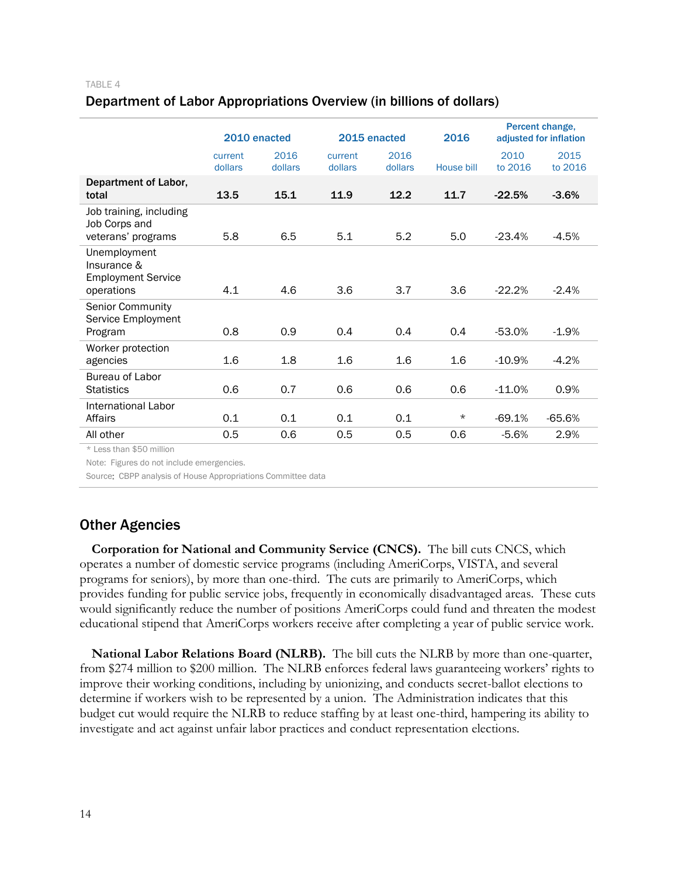### Department of Labor Appropriations Overview (in billions of dollars)

|                                                                        | 2010 enacted       |                 | 2015 enacted       |                 | 2016       | Percent change,<br>adjusted for inflation |                 |
|------------------------------------------------------------------------|--------------------|-----------------|--------------------|-----------------|------------|-------------------------------------------|-----------------|
|                                                                        | current<br>dollars | 2016<br>dollars | current<br>dollars | 2016<br>dollars | House bill | 2010<br>to 2016                           | 2015<br>to 2016 |
| Department of Labor,<br>total                                          | 13.5               | 15.1            | 11.9               | 12.2            | 11.7       | $-22.5%$                                  | $-3.6%$         |
| Job training, including<br>Job Corps and<br>veterans' programs         | 5.8                | 6.5             | 5.1                | 5.2             | 5.0        | $-23.4%$                                  | $-4.5%$         |
| Unemployment<br>Insurance &<br><b>Employment Service</b><br>operations | 4.1                | 4.6             | 3.6                | 3.7             | 3.6        | $-22.2%$                                  | $-2.4%$         |
| Senior Community<br>Service Employment<br>Program                      | 0.8                | 0.9             | 0.4                | 0.4             | 0.4        | $-53.0%$                                  | $-1.9%$         |
| Worker protection<br>agencies                                          | 1.6                | 1.8             | 1.6                | 1.6             | 1.6        | $-10.9%$                                  | $-4.2%$         |
| Bureau of Labor<br><b>Statistics</b>                                   | 0.6                | 0.7             | 0.6                | 0.6             | 0.6        | $-11.0%$                                  | 0.9%            |
| International Labor<br>Affairs                                         | 0.1                | 0.1             | 0.1                | 0.1             | $^\star$   | $-69.1%$                                  | $-65.6%$        |
| All other                                                              | 0.5                | 0.6             | 0.5                | 0.5             | 0.6        | $-5.6%$                                   | 2.9%            |
| $*$ Lees than $*$ 50 million                                           |                    |                 |                    |                 |            |                                           |                 |

Less than \$50 million

Note: Figures do not include emergencies.

Source: CBPP analysis of House Appropriations Committee data

# Other Agencies

**Corporation for National and Community Service (CNCS).** The bill cuts CNCS, which operates a number of domestic service programs (including AmeriCorps, VISTA, and several programs for seniors), by more than one-third. The cuts are primarily to AmeriCorps, which provides funding for public service jobs, frequently in economically disadvantaged areas. These cuts would significantly reduce the number of positions AmeriCorps could fund and threaten the modest educational stipend that AmeriCorps workers receive after completing a year of public service work.

**National Labor Relations Board (NLRB).** The bill cuts the NLRB by more than one-quarter, from \$274 million to \$200 million. The NLRB enforces federal laws guaranteeing workers' rights to improve their working conditions, including by unionizing, and conducts secret-ballot elections to determine if workers wish to be represented by a union. The Administration indicates that this budget cut would require the NLRB to reduce staffing by at least one-third, hampering its ability to investigate and act against unfair labor practices and conduct representation elections.